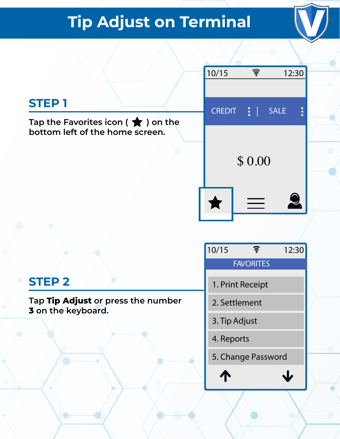## **Tip Adjust on Terminal**

|                                                                                          | $\widehat{\mathbf{a}}$<br>10/15<br>12:30                           |  |  |
|------------------------------------------------------------------------------------------|--------------------------------------------------------------------|--|--|
| <b>STEP1</b>                                                                             | $\frac{1}{2}$<br><b>CREDIT</b><br><b>SALE</b>                      |  |  |
| Tap the Favorites icon $\left(\bigstar\right)$ on the<br>bottom left of the home screen. |                                                                    |  |  |
|                                                                                          | \$0.00                                                             |  |  |
|                                                                                          |                                                                    |  |  |
|                                                                                          |                                                                    |  |  |
|                                                                                          | 10/15<br>$\widehat{\boldsymbol{\pi}}$<br>12:30<br><b>FAVORITES</b> |  |  |
| <b>STEP 2</b>                                                                            | 1. Print Receipt                                                   |  |  |
| Tap Tip Adjust or press the number<br>3 on the keyboard.                                 | 2. Settlement                                                      |  |  |
|                                                                                          | 3. Tip Adjust                                                      |  |  |
|                                                                                          | 4. Reports                                                         |  |  |
|                                                                                          | 5. Change Password                                                 |  |  |
|                                                                                          |                                                                    |  |  |
|                                                                                          |                                                                    |  |  |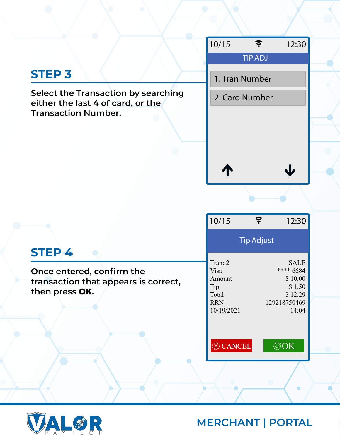## **STEP 3**

**Select the Transaction by searching either the last 4 of card, or the Transaction Number.**

| 10/15 | $\boldsymbol{\widehat{\bar{\tau}}}$ | 12:30 |
|-------|-------------------------------------|-------|
|       | <b>TIP ADJ</b>                      |       |
|       | 1. Tran Number                      |       |
|       | 2. Card Number                      |       |
|       |                                     |       |
|       |                                     |       |
|       |                                     |       |
|       |                                     |       |
|       |                                     |       |

|                                      | 10/15                          |  | 12:30                    |
|--------------------------------------|--------------------------------|--|--------------------------|
|                                      | <b>Tip Adjust</b>              |  |                          |
| <b>STEP 4</b>                        |                                |  |                          |
| Once entered, confirm the            | Tran: 2<br>Visa                |  | <b>SALE</b><br>**** 6684 |
| transaction that appears is correct, | Amount                         |  | \$10.00                  |
| then press OK.                       | Tip<br>Total                   |  | \$1.50<br>\$12.29        |
|                                      | <b>RRN</b>                     |  | 129218750469             |
|                                      | 10/19/2021<br>$\otimes$ CANCEL |  | 14:04<br>$\oslash$ OK    |
|                                      |                                |  |                          |



**MERCHANT | PORTAL**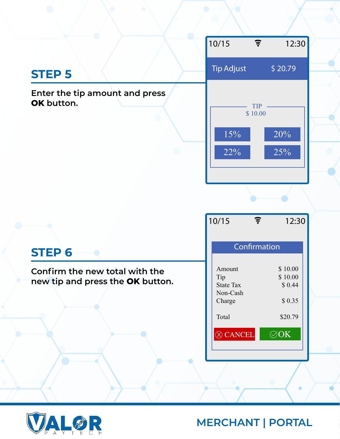



**MERCHANT | PORTAL**